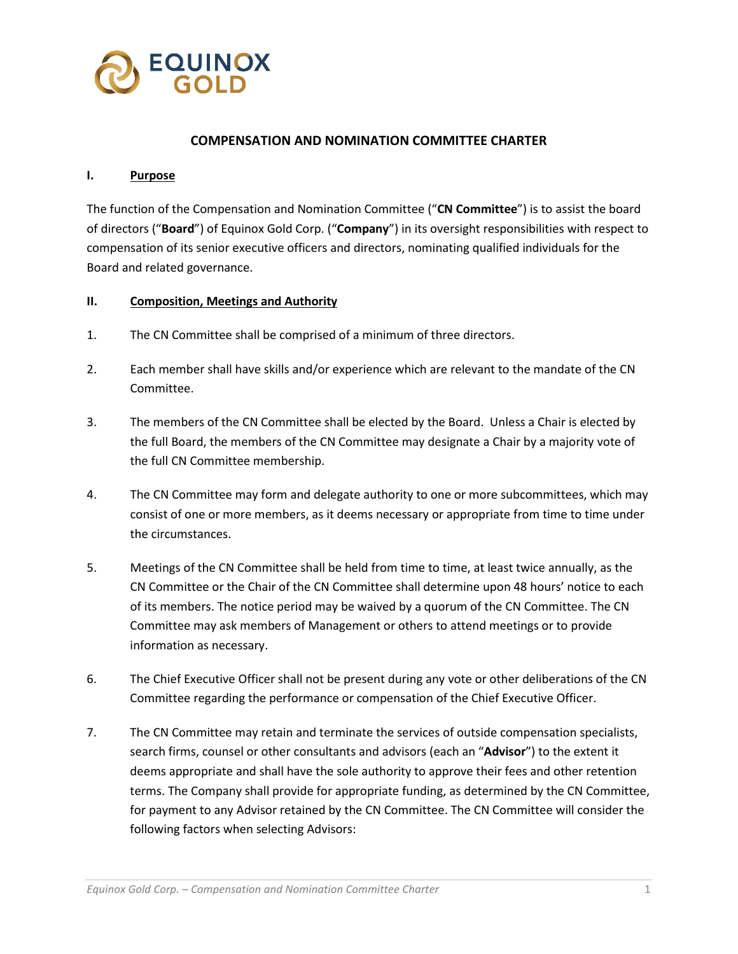

## **COMPENSATION AND NOMINATION COMMITTEE CHARTER**

#### **I. Purpose**

The function of the Compensation and Nomination Committee ("**CN Committee**") is to assist the board of directors ("**Board**") of Equinox Gold Corp. ("**Company**") in its oversight responsibilities with respect to compensation of its senior executive officers and directors, nominating qualified individuals for the Board and related governance.

### **II. Composition, Meetings and Authority**

- 1. The CN Committee shall be comprised of a minimum of three directors.
- 2. Each member shall have skills and/or experience which are relevant to the mandate of the CN Committee.
- 3. The members of the CN Committee shall be elected by the Board. Unless a Chair is elected by the full Board, the members of the CN Committee may designate a Chair by a majority vote of the full CN Committee membership.
- 4. The CN Committee may form and delegate authority to one or more subcommittees, which may consist of one or more members, as it deems necessary or appropriate from time to time under the circumstances.
- 5. Meetings of the CN Committee shall be held from time to time, at least twice annually, as the CN Committee or the Chair of the CN Committee shall determine upon 48 hours' notice to each of its members. The notice period may be waived by a quorum of the CN Committee. The CN Committee may ask members of Management or others to attend meetings or to provide information as necessary.
- 6. The Chief Executive Officer shall not be present during any vote or other deliberations of the CN Committee regarding the performance or compensation of the Chief Executive Officer.
- 7. The CN Committee may retain and terminate the services of outside compensation specialists, search firms, counsel or other consultants and advisors (each an "**Advisor**") to the extent it deems appropriate and shall have the sole authority to approve their fees and other retention terms. The Company shall provide for appropriate funding, as determined by the CN Committee, for payment to any Advisor retained by the CN Committee. The CN Committee will consider the following factors when selecting Advisors: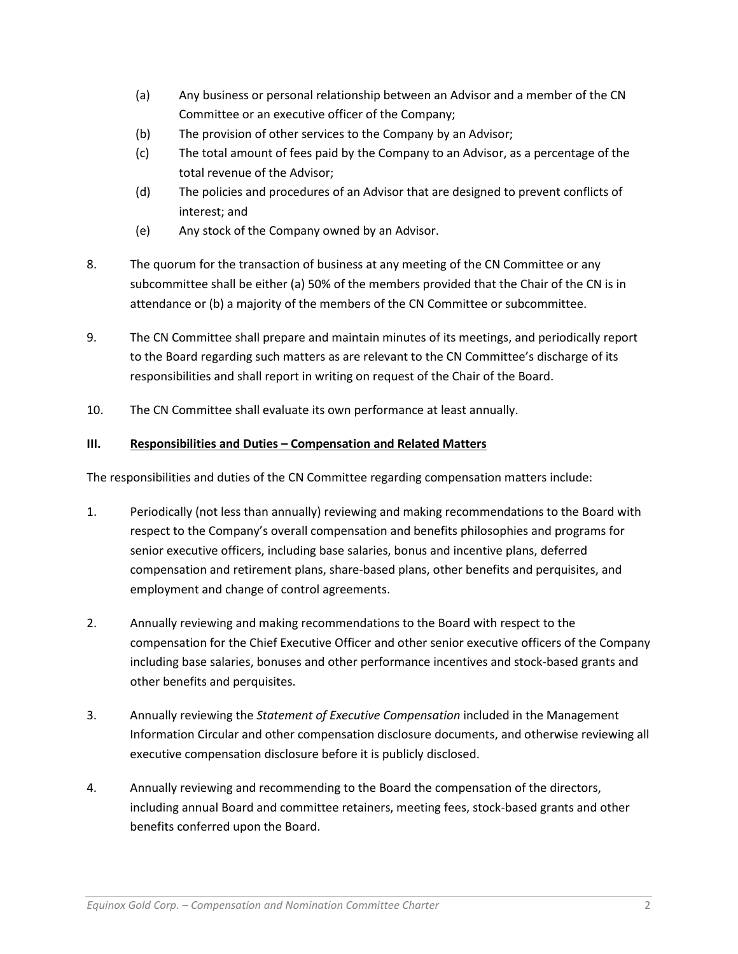- (a) Any business or personal relationship between an Advisor and a member of the CN Committee or an executive officer of the Company;
- (b) The provision of other services to the Company by an Advisor;
- (c) The total amount of fees paid by the Company to an Advisor, as a percentage of the total revenue of the Advisor;
- (d) The policies and procedures of an Advisor that are designed to prevent conflicts of interest; and
- (e) Any stock of the Company owned by an Advisor.
- 8. The quorum for the transaction of business at any meeting of the CN Committee or any subcommittee shall be either (a) 50% of the members provided that the Chair of the CN is in attendance or (b) a majority of the members of the CN Committee or subcommittee.
- 9. The CN Committee shall prepare and maintain minutes of its meetings, and periodically report to the Board regarding such matters as are relevant to the CN Committee's discharge of its responsibilities and shall report in writing on request of the Chair of the Board.
- 10. The CN Committee shall evaluate its own performance at least annually.

# **III. Responsibilities and Duties – Compensation and Related Matters**

The responsibilities and duties of the CN Committee regarding compensation matters include:

- 1. Periodically (not less than annually) reviewing and making recommendations to the Board with respect to the Company's overall compensation and benefits philosophies and programs for senior executive officers, including base salaries, bonus and incentive plans, deferred compensation and retirement plans, share-based plans, other benefits and perquisites, and employment and change of control agreements.
- 2. Annually reviewing and making recommendations to the Board with respect to the compensation for the Chief Executive Officer and other senior executive officers of the Company including base salaries, bonuses and other performance incentives and stock-based grants and other benefits and perquisites.
- 3. Annually reviewing the *Statement of Executive Compensation* included in the Management Information Circular and other compensation disclosure documents, and otherwise reviewing all executive compensation disclosure before it is publicly disclosed.
- 4. Annually reviewing and recommending to the Board the compensation of the directors, including annual Board and committee retainers, meeting fees, stock-based grants and other benefits conferred upon the Board.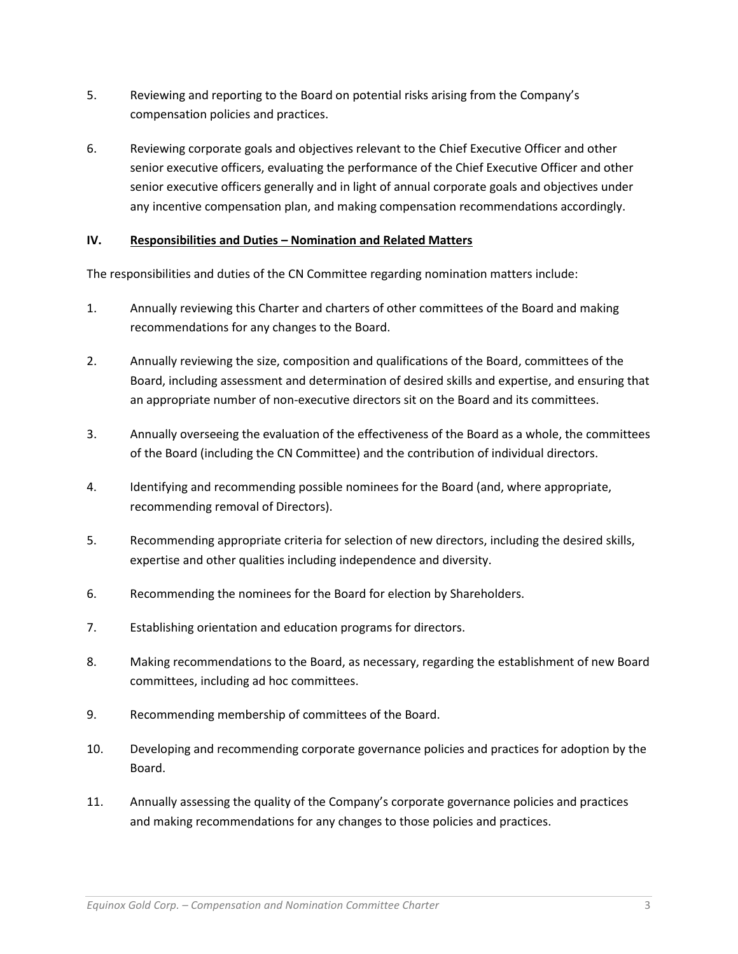- 5. Reviewing and reporting to the Board on potential risks arising from the Company's compensation policies and practices.
- 6. Reviewing corporate goals and objectives relevant to the Chief Executive Officer and other senior executive officers, evaluating the performance of the Chief Executive Officer and other senior executive officers generally and in light of annual corporate goals and objectives under any incentive compensation plan, and making compensation recommendations accordingly.

## **IV. Responsibilities and Duties – Nomination and Related Matters**

The responsibilities and duties of the CN Committee regarding nomination matters include:

- 1. Annually reviewing this Charter and charters of other committees of the Board and making recommendations for any changes to the Board.
- 2. Annually reviewing the size, composition and qualifications of the Board, committees of the Board, including assessment and determination of desired skills and expertise, and ensuring that an appropriate number of non-executive directors sit on the Board and its committees.
- 3. Annually overseeing the evaluation of the effectiveness of the Board as a whole, the committees of the Board (including the CN Committee) and the contribution of individual directors.
- 4. Identifying and recommending possible nominees for the Board (and, where appropriate, recommending removal of Directors).
- 5. Recommending appropriate criteria for selection of new directors, including the desired skills, expertise and other qualities including independence and diversity.
- 6. Recommending the nominees for the Board for election by Shareholders.
- 7. Establishing orientation and education programs for directors.
- 8. Making recommendations to the Board, as necessary, regarding the establishment of new Board committees, including ad hoc committees.
- 9. Recommending membership of committees of the Board.
- 10. Developing and recommending corporate governance policies and practices for adoption by the Board.
- 11. Annually assessing the quality of the Company's corporate governance policies and practices and making recommendations for any changes to those policies and practices.